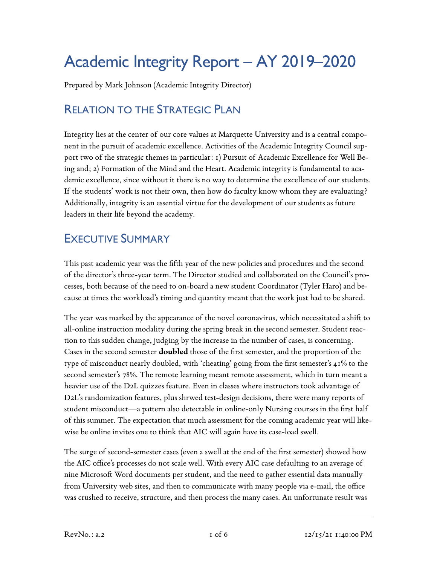# Academic Integrity Report – AY 2019–2020

Prepared by Mark Johnson (Academic Integrity Director)

# RELATION TO THE STRATEGIC PLAN

Integrity lies at the center of our core values at Marquette University and is a central component in the pursuit of academic excellence. Activities of the Academic Integrity Council support two of the strategic themes in particular: 1) Pursuit of Academic Excellence for Well Being and; 2) Formation of the Mind and the Heart. Academic integrity is fundamental to academic excellence, since without it there is no way to determine the excellence of our students. If the students' work is not their own, then how do faculty know whom they are evaluating? Additionally, integrity is an essential virtue for the development of our students as future leaders in their life beyond the academy.

## EXECUTIVE SUMMARY

This past academic year was the fifth year of the new policies and procedures and the second of the director's three-year term. The Director studied and collaborated on the Council's processes, both because of the need to on-board a new student Coordinator (Tyler Haro) and because at times the workload's timing and quantity meant that the work just had to be shared.

The year was marked by the appearance of the novel coronavirus, which necessitated a shift to all-online instruction modality during the spring break in the second semester. Student reaction to this sudden change, judging by the increase in the number of cases, is concerning. Cases in the second semester **doubled** those of the first semester, and the proportion of the type of misconduct nearly doubled, with 'cheating' going from the first semester's 41% to the second semester's 78%. The remote learning meant remote assessment, which in turn meant a heavier use of the D2L quizzes feature. Even in classes where instructors took advantage of D2L's randomization features, plus shrwed test-design decisions, there were many reports of student misconduct—a pattern also detectable in online-only Nursing courses in the first half of this summer. The expectation that much assessment for the coming academic year will likewise be online invites one to think that AIC will again have its case-load swell.

The surge of second-semester cases (even a swell at the end of the first semester) showed how the AIC office's processes do not scale well. With every AIC case defaulting to an average of nine Microsoft Word documents per student, and the need to gather essential data manually from University web sites, and then to communicate with many people via e-mail, the office was crushed to receive, structure, and then process the many cases. An unfortunate result was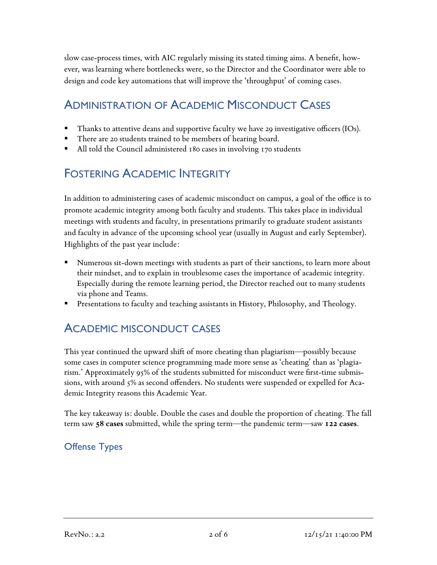slow case-process times, with AIC regularly missing its stated timing aims. A benefit, however, was learning where bottlenecks were, so the Director and the Coordinator were able to design and code key automations that will improve the 'throughput' of coming cases.

### ADMINISTRATION OF ACADEMIC MISCONDUCT CASES

- Thanks to attentive deans and supportive faculty we have 29 investigative officers (IOs).
- There are 20 students trained to be members of hearing board.
- All told the Council administered 180 cases in involving 170 students

## FOSTERING ACADEMIC INTEGRITY

In addition to administering cases of academic misconduct on campus, a goal of the office is to promote academic integrity among both faculty and students. This takes place in individual meetings with students and faculty, in presentations primarily to graduate student assistants and faculty in advance of the upcoming school year (usually in August and early September). Highlights of the past year include:

- Numerous sit-down meetings with students as part of their sanctions, to learn more about their mindset, and to explain in troublesome cases the importance of academic integrity. Especially during the remote learning period, the Director reached out to many students via phone and Teams.
- § Presentations to faculty and teaching assistants in History, Philosophy, and Theology.

## ACADEMIC MISCONDUCT CASES

This year continued the upward shift of more cheating than plagiarism—possibly because some cases in computer science programming made more sense as 'cheating' than as 'plagiarism.' Approximately 95% of the students submitted for misconduct were first-time submissions, with around 5% as second offenders. No students were suspended or expelled for Academic Integrity reasons this Academic Year.

The key takeaway is: double. Double the cases and double the proportion of cheating. The fall term saw **58 cases** submitted, while the spring term—the pandemic term—saw **122 cases**.

#### Offense Types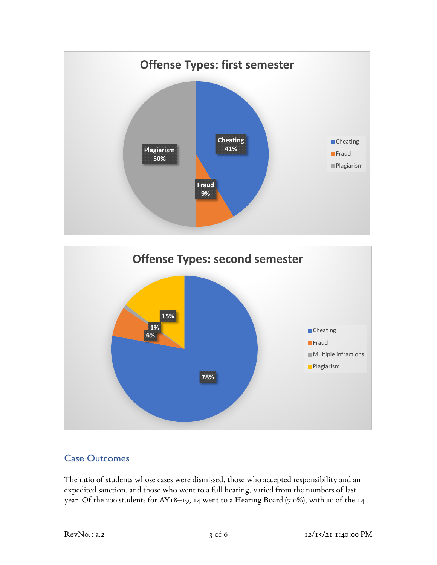



#### Case Outcomes

The ratio of students whose cases were dismissed, those who accepted responsibility and an expedited sanction, and those who went to a full hearing, varied from the numbers of last year. Of the 200 students for AY18–19, 14 went to a Hearing Board (7.0%), with 10 of the 14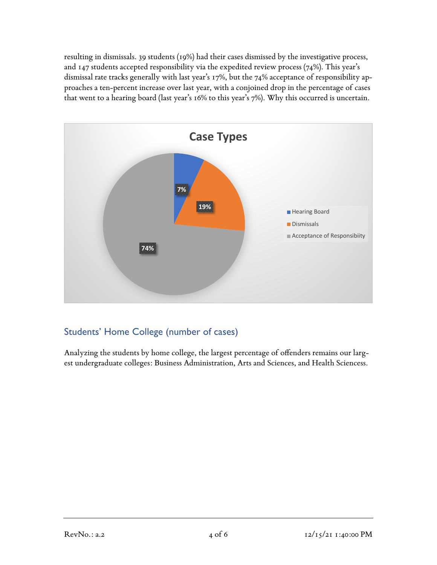resulting in dismissals. 39 students (19%) had their cases dismissed by the investigative process, and 147 students accepted responsibility via the expedited review process (74%). This year's dismissal rate tracks generally with last year's 17%, but the 74% acceptance of responsibility approaches a ten-percent increase over last year, with a conjoined drop in the percentage of cases that went to a hearing board (last year's 16% to this year's 7%). Why this occurred is uncertain.



#### Students' Home College (number of cases)

Analyzing the students by home college, the largest percentage of offenders remains our largest undergraduate colleges: Business Administration, Arts and Sciences, and Health Sciencess.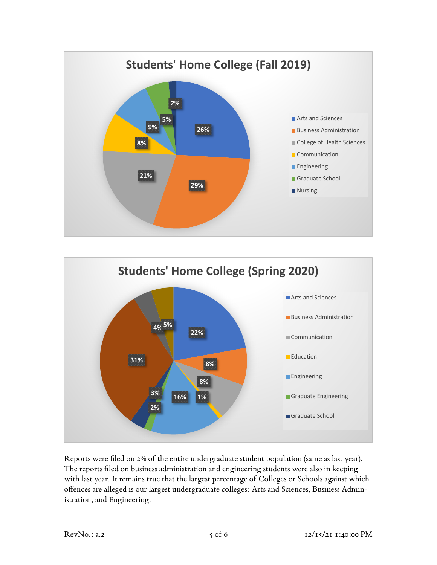



Reports were filed on 2% of the entire undergraduate student population (same as last year). The reports filed on business administration and engineering students were also in keeping with last year. It remains true that the largest percentage of Colleges or Schools against which offences are alleged is our largest undergraduate colleges: Arts and Sciences, Business Administration, and Engineering.